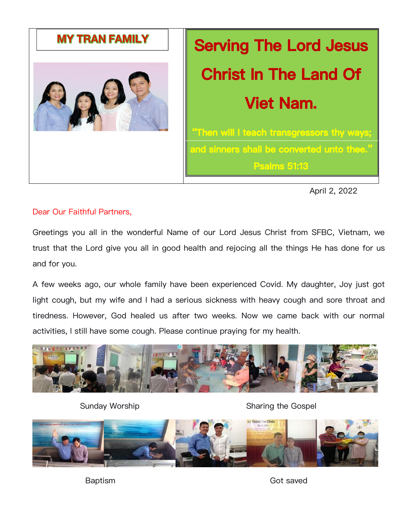

# **Serving The Lord Jesus Christ In The Land Of Viet Nam.**

**"Then will I teach transgressors thy ways; and sinners shall be converted unto thee." Psalms 51:13**

April 2, 2022

# Dear Our Faithful Partners,

Greetings you all in the wonderful Name of our Lord Jesus Christ from SFBC, Vietnam, we trust that the Lord give you all in good health and rejocing all the things He has done for us and for you.

A few weeks ago, our whole family have been experienced Covid. My daughter, Joy just got light cough, but my wife and I had a serious sickness with heavy cough and sore throat and tiredness. However, God healed us after two weeks. Now we came back with our normal activities, I still have some cough. Please continue praying for my health.



Sunday Worship Sunday Worship Sharing the Gospel



Baptism Got saved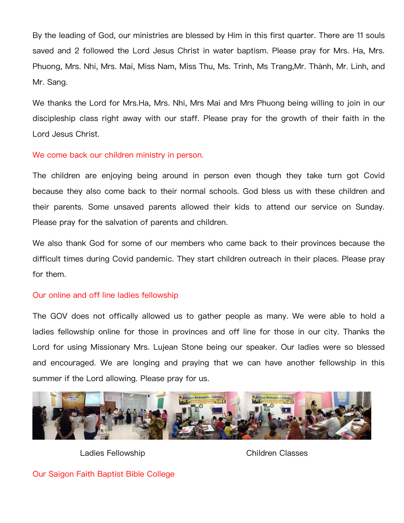By the leading of God, our ministries are blessed by Him in this first quarter. There are 11 souls saved and 2 followed the Lord Jesus Christ in water baptism. Please pray for Mrs. Ha, Mrs. Phuong, Mrs. Nhi, Mrs. Mai, Miss Nam, Miss Thu, Ms. Trinh, Ms Trang,Mr. Thành, Mr. Linh, and Mr. Sang.

We thanks the Lord for Mrs.Ha, Mrs. Nhi, Mrs Mai and Mrs Phuong being willing to join in our discipleship class right away with our staff. Please pray for the growth of their faith in the Lord Jesus Christ.

## We come back our children ministry in person.

The children are enjoying being around in person even though they take turn got Covid because they also come back to their normal schools. God bless us with these children and their parents. Some unsaved parents allowed their kids to attend our service on Sunday. Please pray for the salvation of parents and children.

We also thank God for some of our members who came back to their provinces because the difficult times during Covid pandemic. They start children outreach in their places. Please pray for them.

### Our online and off line ladies fellowship

The GOV does not offically allowed us to gather people as many. We were able to hold a ladies fellowship online for those in provinces and off line for those in our city. Thanks the Lord for using Missionary Mrs. Lujean Stone being our speaker. Our ladies were so blessed and encouraged. We are longing and praying that we can have another fellowship in this summer if the Lord allowing. Please pray for us.



Ladies Fellowship Children Classes

Our Saigon Faith Baptist Bible College